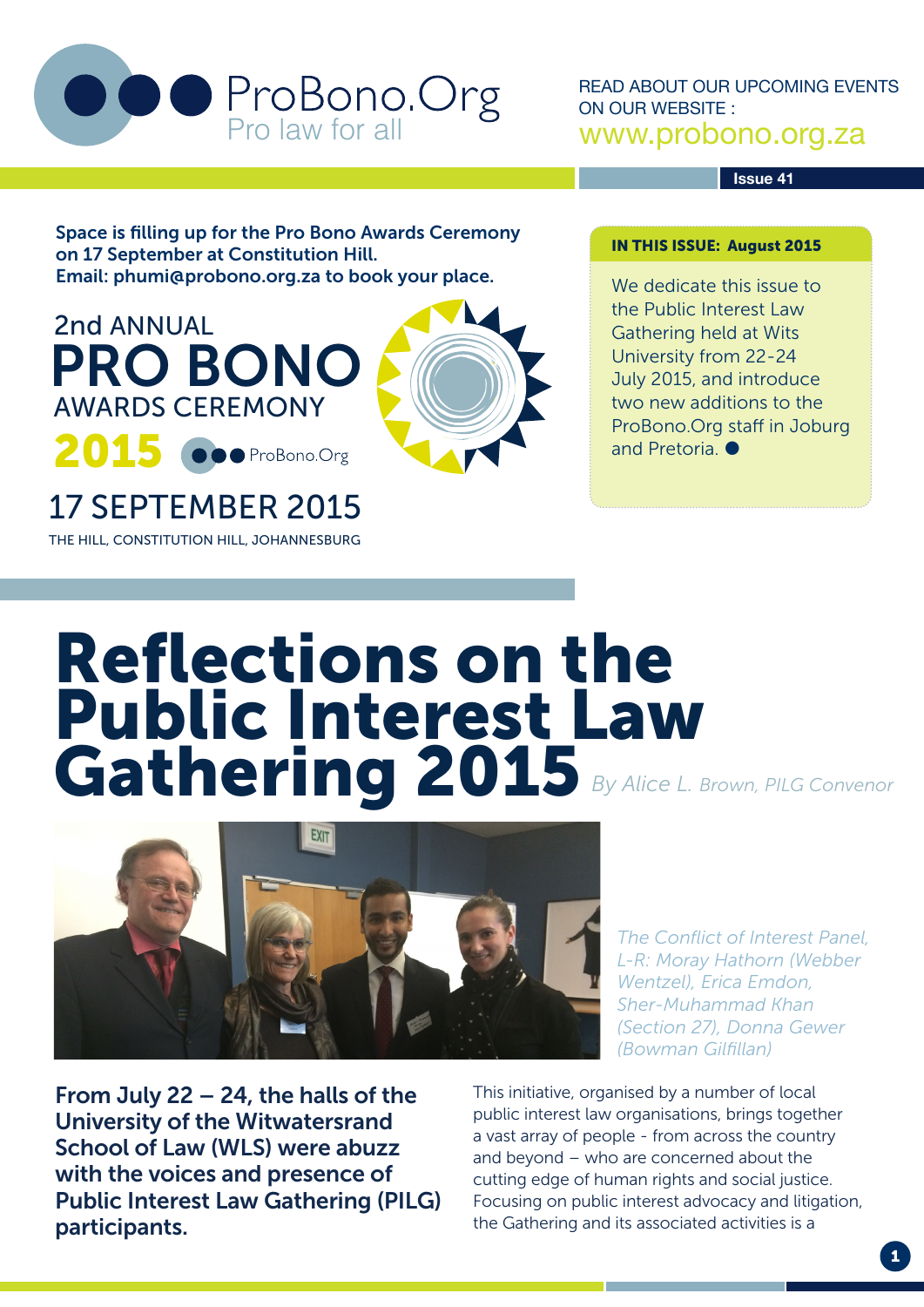

READ ABOUT OUR UPCOMING EVENTS ON OUR WEBSITE : www.probono.org.za

**Issue 41**

Space is filling up for the Pro Bono Awards Ceremony on 17 September at Constitution Hill. Email: phumi@probono.org.za to book your place.



17 SEPTEMBER 2015 THE HILL, CONSTITUTION HILL, JOHANNESBURG IN THIS ISSUE: August 2015

We dedicate this issue to the Public Interest Law Gathering held at Wits University from 22-24 July 2015, and introduce two new additions to the ProBono.Org staff in Joburg and Pretoria.

# Reflections on the Public Interest Law Gathering 2015 *By Alice L. Brown, PILG Convenor*



*The Conflict of Interest Panel, L-R: Moray Hathorn (Webber Wentzel), Erica Emdon, Sher-Muhammad Khan (Section 27), Donna Gewer (Bowman Gilfillan)*

From July 22 – 24, the halls of the University of the Witwatersrand School of Law (WLS) were abuzz with the voices and presence of Public Interest Law Gathering (PILG) participants.

This initiative, organised by a number of local public interest law organisations, brings together a vast array of people - from across the country and beyond – who are concerned about the cutting edge of human rights and social justice. Focusing on public interest advocacy and litigation, the Gathering and its associated activities is a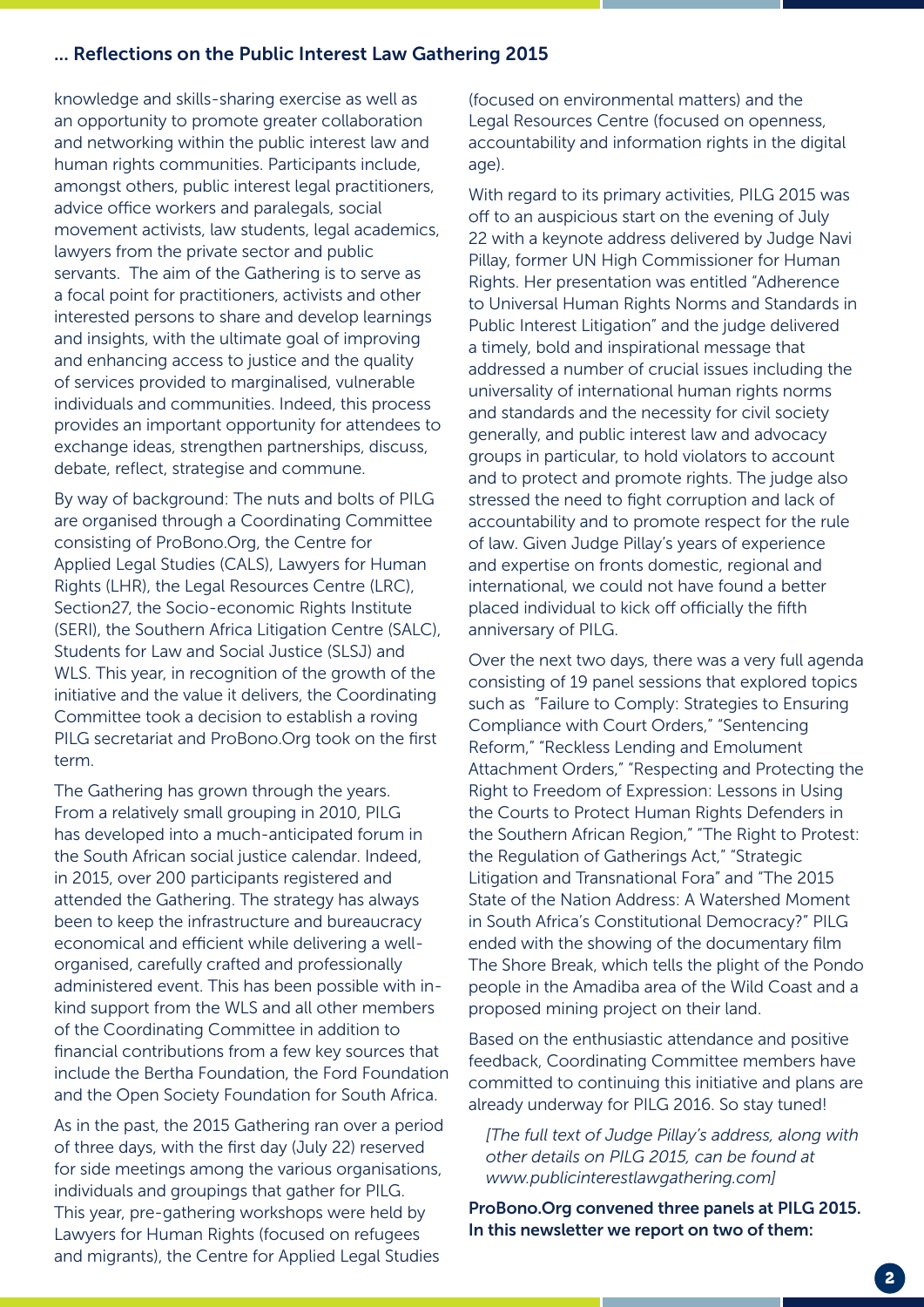#### ... Reflections on the Public Interest Law Gathering 2015

knowledge and skills-sharing exercise as well as an opportunity to promote greater collaboration and networking within the public interest law and human rights communities. Participants include, amongst others, public interest legal practitioners, advice office workers and paralegals, social movement activists, law students, legal academics, lawyers from the private sector and public servants. The aim of the Gathering is to serve as a focal point for practitioners, activists and other interested persons to share and develop learnings and insights, with the ultimate goal of improving and enhancing access to justice and the quality of services provided to marginalised, vulnerable individuals and communities. Indeed, this process provides an important opportunity for attendees to exchange ideas, strengthen partnerships, discuss, debate, reflect, strategise and commune.

By way of background: The nuts and bolts of PILG are organised through a Coordinating Committee consisting of ProBono.Org, the Centre for Applied Legal Studies (CALS), Lawyers for Human Rights (LHR), the Legal Resources Centre (LRC), Section27, the Socio-economic Rights Institute (SERI), the Southern Africa Litigation Centre (SALC), Students for Law and Social Justice (SLSJ) and WLS. This year, in recognition of the growth of the initiative and the value it delivers, the Coordinating Committee took a decision to establish a roving PILG secretariat and ProBono.Org took on the first term.

The Gathering has grown through the years. From a relatively small grouping in 2010, PILG has developed into a much-anticipated forum in the South African social justice calendar. Indeed, in 2015, over 200 participants registered and attended the Gathering. The strategy has always been to keep the infrastructure and bureaucracy economical and efficient while delivering a wellorganised, carefully crafted and professionally administered event. This has been possible with inkind support from the WLS and all other members of the Coordinating Committee in addition to financial contributions from a few key sources that include the Bertha Foundation, the Ford Foundation and the Open Society Foundation for South Africa.

As in the past, the 2015 Gathering ran over a period of three days, with the first day (July 22) reserved for side meetings among the various organisations, individuals and groupings that gather for PILG. This year, pre-gathering workshops were held by Lawyers for Human Rights (focused on refugees and migrants), the Centre for Applied Legal Studies

(focused on environmental matters) and the Legal Resources Centre (focused on openness, accountability and information rights in the digital age).

With regard to its primary activities, PILG 2015 was off to an auspicious start on the evening of July 22 with a keynote address delivered by Judge Navi Pillay, former UN High Commissioner for Human Rights. Her presentation was entitled "Adherence to Universal Human Rights Norms and Standards in Public Interest Litigation" and the judge delivered a timely, bold and inspirational message that addressed a number of crucial issues including the universality of international human rights norms and standards and the necessity for civil society generally, and public interest law and advocacy groups in particular, to hold violators to account and to protect and promote rights. The judge also stressed the need to fight corruption and lack of accountability and to promote respect for the rule of law. Given Judge Pillay's years of experience and expertise on fronts domestic, regional and international, we could not have found a better placed individual to kick off officially the fifth anniversary of PILG.

Over the next two days, there was a very full agenda consisting of 19 panel sessions that explored topics such as "Failure to Comply: Strategies to Ensuring Compliance with Court Orders," "Sentencing Reform," "Reckless Lending and Emolument Attachment Orders," "Respecting and Protecting the Right to Freedom of Expression: Lessons in Using the Courts to Protect Human Rights Defenders in the Southern African Region," "The Right to Protest: the Regulation of Gatherings Act," "Strategic Litigation and Transnational Fora" and "The 2015 State of the Nation Address: A Watershed Moment in South Africa's Constitutional Democracy?" PILG ended with the showing of the documentary film The Shore Break, which tells the plight of the Pondo people in the Amadiba area of the Wild Coast and a proposed mining project on their land.

Based on the enthusiastic attendance and positive feedback, Coordinating Committee members have committed to continuing this initiative and plans are already underway for PILG 2016. So stay tuned!

*[The full text of Judge Pillay's address, along with other details on PILG 2015, can be found at www.publicinterestlawgathering.com]*

ProBono.Org convened three panels at PILG 2015. In this newsletter we report on two of them: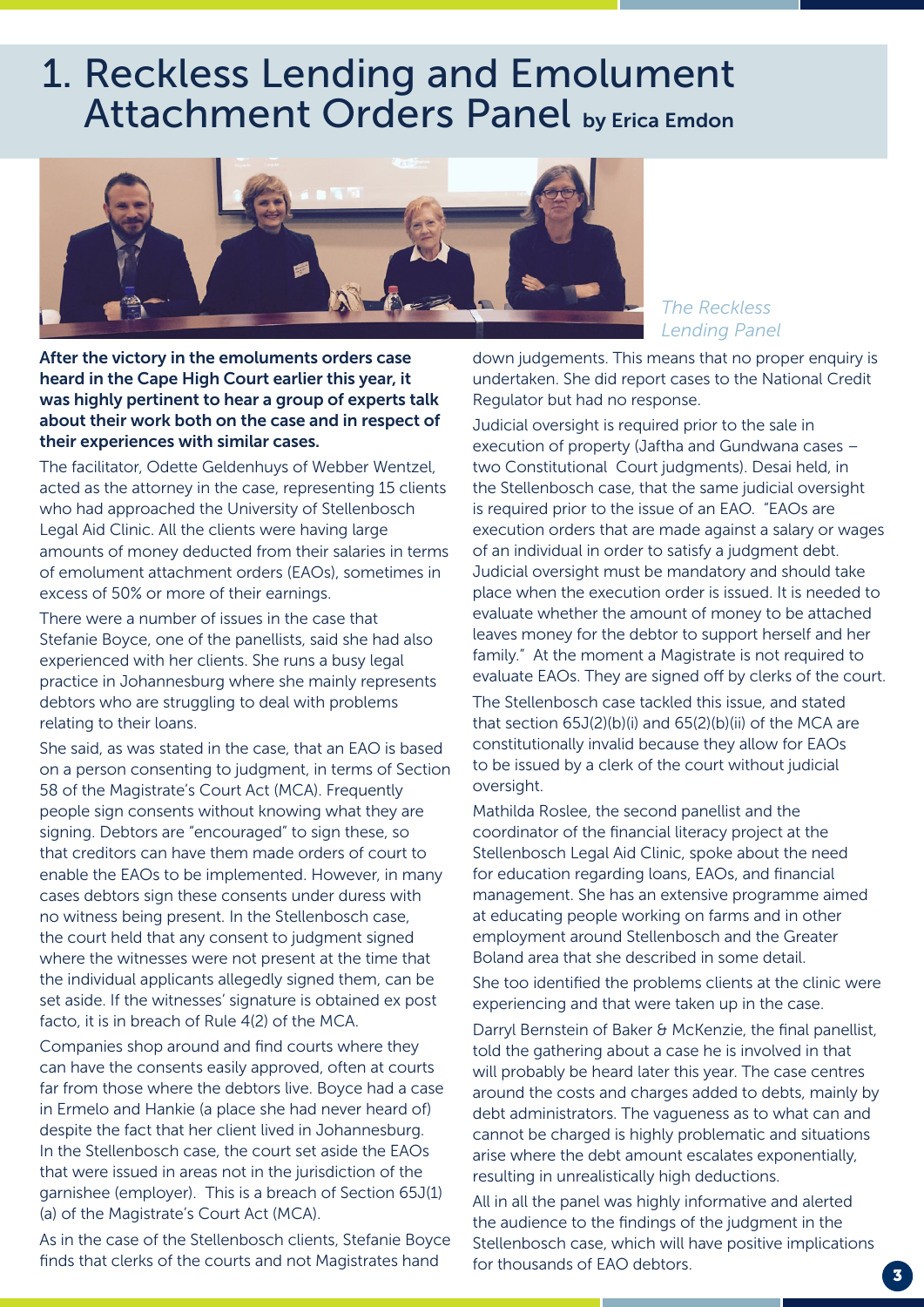### 1. Reckless Lending and Emolument Attachment Orders Panel by Erica Emdon



After the victory in the emoluments orders case heard in the Cape High Court earlier this year, it was highly pertinent to hear a group of experts talk about their work both on the case and in respect of their experiences with similar cases.

The facilitator, Odette Geldenhuys of Webber Wentzel, acted as the attorney in the case, representing 15 clients who had approached the University of Stellenbosch Legal Aid Clinic. All the clients were having large amounts of money deducted from their salaries in terms of emolument attachment orders (EAOs), sometimes in excess of 50% or more of their earnings.

There were a number of issues in the case that Stefanie Boyce, one of the panellists, said she had also experienced with her clients. She runs a busy legal practice in Johannesburg where she mainly represents debtors who are struggling to deal with problems relating to their loans.

She said, as was stated in the case, that an EAO is based on a person consenting to judgment, in terms of Section 58 of the Magistrate's Court Act (MCA). Frequently people sign consents without knowing what they are signing. Debtors are "encouraged" to sign these, so that creditors can have them made orders of court to enable the EAOs to be implemented. However, in many cases debtors sign these consents under duress with no witness being present. In the Stellenbosch case, the court held that any consent to judgment signed where the witnesses were not present at the time that the individual applicants allegedly signed them, can be set aside. If the witnesses' signature is obtained ex post facto, it is in breach of Rule 4(2) of the MCA.

Companies shop around and find courts where they can have the consents easily approved, often at courts far from those where the debtors live. Boyce had a case in Ermelo and Hankie (a place she had never heard of) despite the fact that her client lived in Johannesburg. In the Stellenbosch case, the court set aside the EAOs that were issued in areas not in the jurisdiction of the garnishee (employer). This is a breach of Section 65J(1) (a) of the Magistrate's Court Act (MCA).

As in the case of the Stellenbosch clients, Stefanie Boyce finds that clerks of the courts and not Magistrates hand

*The Reckless Lending Panel*

down judgements. This means that no proper enquiry is undertaken. She did report cases to the National Credit Regulator but had no response.

Judicial oversight is required prior to the sale in execution of property (Jaftha and Gundwana cases – two Constitutional Court judgments). Desai held, in the Stellenbosch case, that the same judicial oversight is required prior to the issue of an EAO. "EAOs are execution orders that are made against a salary or wages of an individual in order to satisfy a judgment debt. Judicial oversight must be mandatory and should take place when the execution order is issued. It is needed to evaluate whether the amount of money to be attached leaves money for the debtor to support herself and her family." At the moment a Magistrate is not required to evaluate EAOs. They are signed off by clerks of the court.

The Stellenbosch case tackled this issue, and stated that section 65J(2)(b)(i) and 65(2)(b)(ii) of the MCA are constitutionally invalid because they allow for EAOs to be issued by a clerk of the court without judicial oversight.

Mathilda Roslee, the second panellist and the coordinator of the financial literacy project at the Stellenbosch Legal Aid Clinic, spoke about the need for education regarding loans, EAOs, and financial management. She has an extensive programme aimed at educating people working on farms and in other employment around Stellenbosch and the Greater Boland area that she described in some detail.

She too identified the problems clients at the clinic were experiencing and that were taken up in the case.

Darryl Bernstein of Baker & McKenzie, the final panellist, told the gathering about a case he is involved in that will probably be heard later this year. The case centres around the costs and charges added to debts, mainly by debt administrators. The vagueness as to what can and cannot be charged is highly problematic and situations arise where the debt amount escalates exponentially, resulting in unrealistically high deductions.

All in all the panel was highly informative and alerted the audience to the findings of the judgment in the Stellenbosch case, which will have positive implications for thousands of EAO debtors.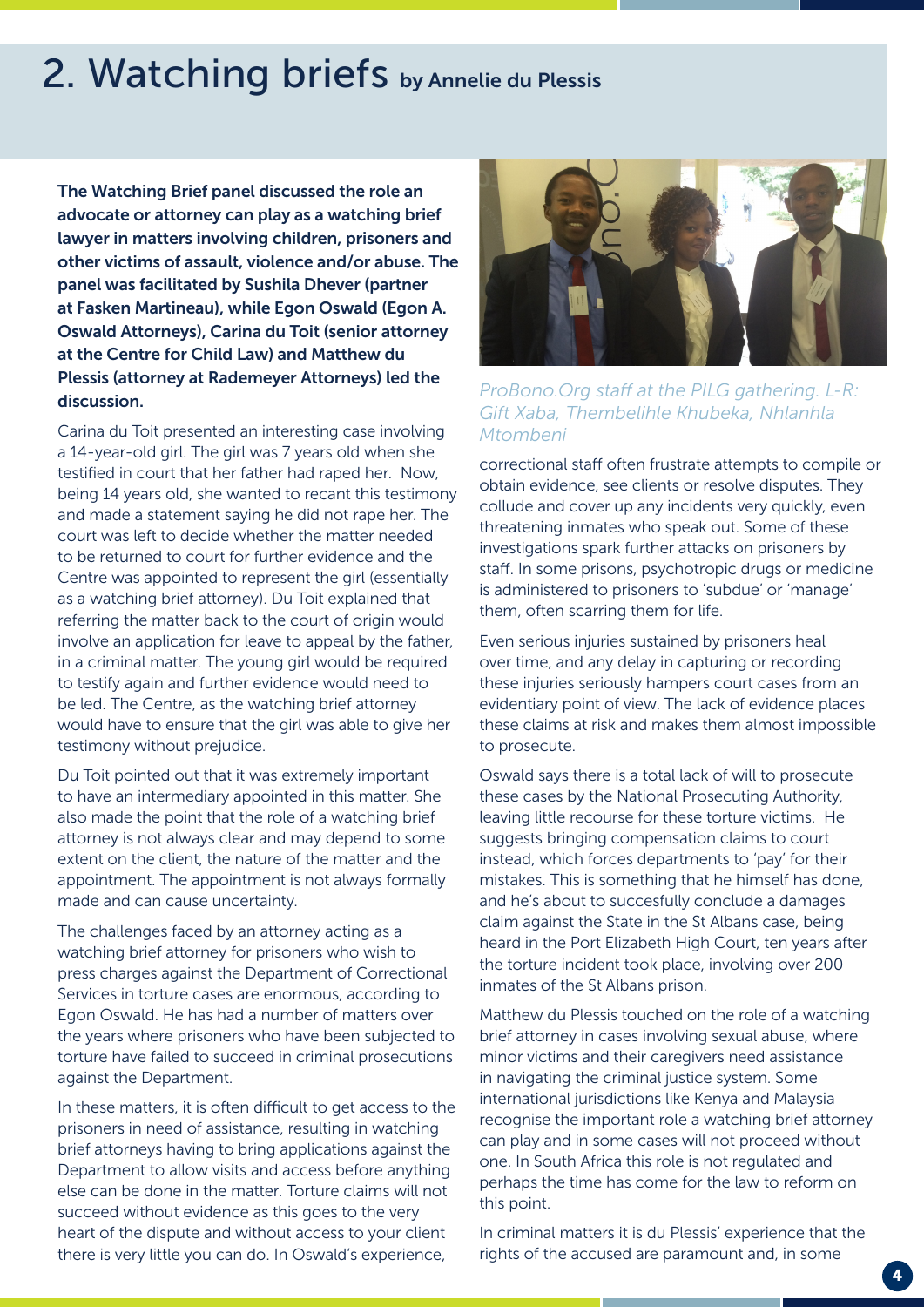## 2. Watching briefs by Annelie du Plessis

The Watching Brief panel discussed the role an advocate or attorney can play as a watching brief lawyer in matters involving children, prisoners and other victims of assault, violence and/or abuse. The panel was facilitated by Sushila Dhever (partner at Fasken Martineau), while Egon Oswald (Egon A. Oswald Attorneys), Carina du Toit (senior attorney at the Centre for Child Law) and Matthew du Plessis (attorney at Rademeyer Attorneys) led the discussion.

Carina du Toit presented an interesting case involving a 14-year-old girl. The girl was 7 years old when she testified in court that her father had raped her. Now, being 14 years old, she wanted to recant this testimony and made a statement saying he did not rape her. The court was left to decide whether the matter needed to be returned to court for further evidence and the Centre was appointed to represent the girl (essentially as a watching brief attorney). Du Toit explained that referring the matter back to the court of origin would involve an application for leave to appeal by the father, in a criminal matter. The young girl would be required to testify again and further evidence would need to be led. The Centre, as the watching brief attorney would have to ensure that the girl was able to give her testimony without prejudice.

Du Toit pointed out that it was extremely important to have an intermediary appointed in this matter. She also made the point that the role of a watching brief attorney is not always clear and may depend to some extent on the client, the nature of the matter and the appointment. The appointment is not always formally made and can cause uncertainty.

The challenges faced by an attorney acting as a watching brief attorney for prisoners who wish to press charges against the Department of Correctional Services in torture cases are enormous, according to Egon Oswald. He has had a number of matters over the years where prisoners who have been subjected to torture have failed to succeed in criminal prosecutions against the Department.

In these matters, it is often difficult to get access to the prisoners in need of assistance, resulting in watching brief attorneys having to bring applications against the Department to allow visits and access before anything else can be done in the matter. Torture claims will not succeed without evidence as this goes to the very heart of the dispute and without access to your client there is very little you can do. In Oswald's experience,



*ProBono.Org staff at the PILG gathering. L-R: Gift Xaba, Thembelihle Khubeka, Nhlanhla Mtombeni*

correctional staff often frustrate attempts to compile or obtain evidence, see clients or resolve disputes. They collude and cover up any incidents very quickly, even threatening inmates who speak out. Some of these investigations spark further attacks on prisoners by staff. In some prisons, psychotropic drugs or medicine is administered to prisoners to 'subdue' or 'manage' them, often scarring them for life.

Even serious injuries sustained by prisoners heal over time, and any delay in capturing or recording these injuries seriously hampers court cases from an evidentiary point of view. The lack of evidence places these claims at risk and makes them almost impossible to prosecute.

Oswald says there is a total lack of will to prosecute these cases by the National Prosecuting Authority, leaving little recourse for these torture victims. He suggests bringing compensation claims to court instead, which forces departments to 'pay' for their mistakes. This is something that he himself has done, and he's about to succesfully conclude a damages claim against the State in the St Albans case, being heard in the Port Elizabeth High Court, ten years after the torture incident took place, involving over 200 inmates of the St Albans prison.

Matthew du Plessis touched on the role of a watching brief attorney in cases involving sexual abuse, where minor victims and their caregivers need assistance in navigating the criminal justice system. Some international jurisdictions like Kenya and Malaysia recognise the important role a watching brief attorney can play and in some cases will not proceed without one. In South Africa this role is not regulated and perhaps the time has come for the law to reform on this point.

In criminal matters it is du Plessis' experience that the rights of the accused are paramount and, in some